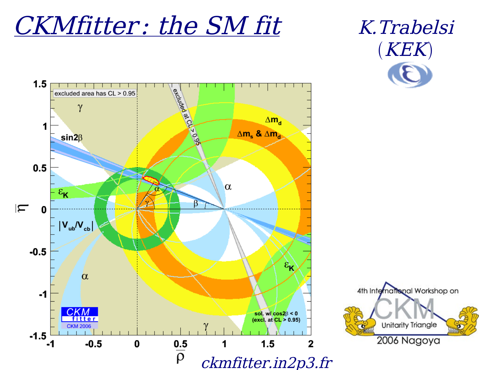## CKMfitter: the SM fit K.Trabelsi

# $(KEK)$



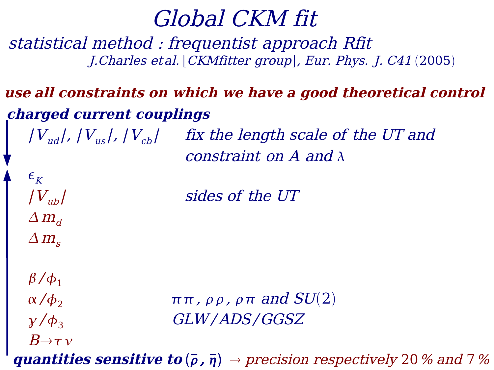## Global CKM fit

statistical method : frequentist approach Rfit J. Charles et al. [CKMfitter group], Eur. Phys. J. C41 (2005)

### **charged current couplings use all constraints on which we have <sup>a</sup> good theoretical control**

 $\left|V_{ud}\right|$ ,  $\left|V_{us}\right|$ ,  $\left|V_{cb}\right|$  fix the length scale of the UT and constraint on  $A$  and  $\lambda$ 

| sides of the UT

```
\beta/\phi_1B\rightarrow \tau \nu
```
 $\epsilon_{K}$ 

 $|V_{ub}|$ 

 $\Delta m_d$ 

 $\Delta m$ <sub>s</sub>

 $\alpha/\phi_2$   $\pi \pi$ ,  $\rho \rho$ ,  $\rho \pi$  and  $SU(2)$  $\gamma$  / $\phi_3$  GLW/ADS/GGSZ

**quantities sensitive to**  $(\bar{\rho}, \bar{\eta}) \rightarrow precision respectively 20 \%$  and 7%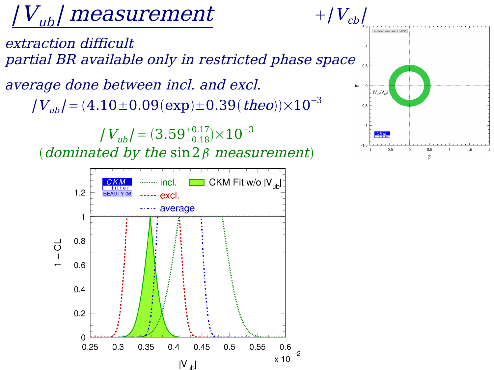# |  $V_{\scriptsize{ub}}$ | measurement

extraction difficult partial BR available only in restricted phase space

 $|V_{ub}|$  =  $(4.10\!\pm\!0.09(\text{exp})\!\pm\!0.39(\textit{theo}) )\!\!\times\!\!10^{-3}$ average done between incl. and excl.

 $| V_{ub} / = (3.59^{+0.17}_{-0.18}) {\times} 10^{-3}$ 

(dominated by the  $\sin 2\beta$  measurement)



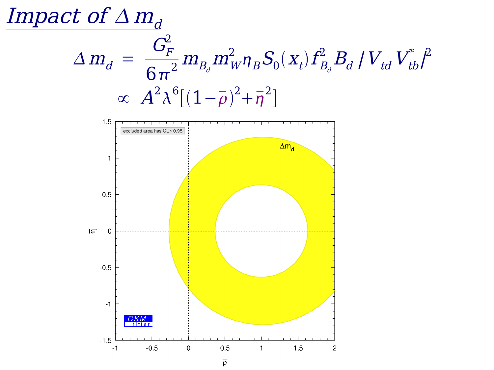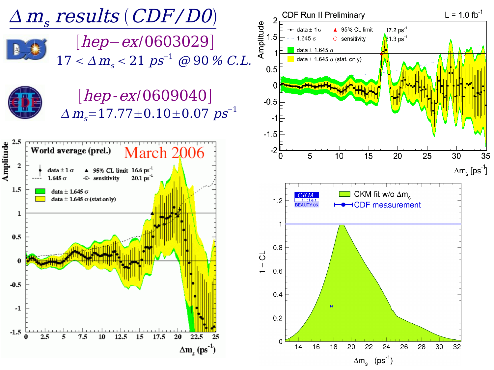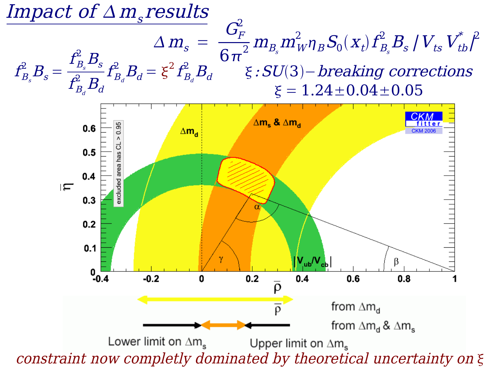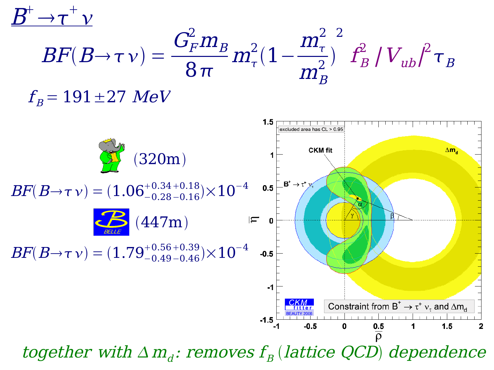

together with  $\Delta m_d$ : removes  $f_B$  (lattice QCD) dependence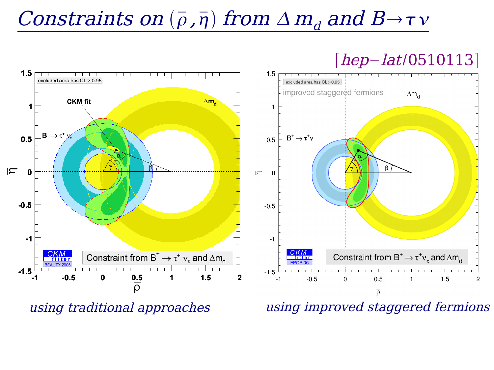## Constraints on  $(\bar{\rho}, \bar{\eta})$  from  $\Delta m_d$  and  $B\to \tau v$

## $[hep-lat/0510113]$



using traditional approaches using improved staggered fermions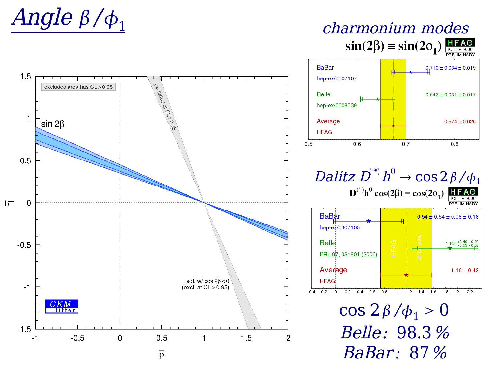

 $\sin(2\beta) \equiv \sin(2\phi_1) \frac{\text{HFAG}}{\text{ICHEP 2006}}$ 

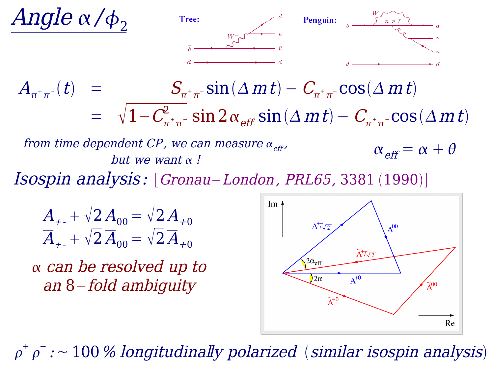

$$
\frac{A_{+}}{A_{+}} + \sqrt{2} A_{00} = \sqrt{2} A_{+0}
$$

$$
\overline{A}_{+} + \sqrt{2} \overline{A}_{00} = \sqrt{2} \overline{A}_{+0}
$$

 can be resolved up to an 8−fold ambiguity



 $\rho^+ \, \rho^-$  :  $\sim 100$  % longitudinally polarized (similar isospin analysis)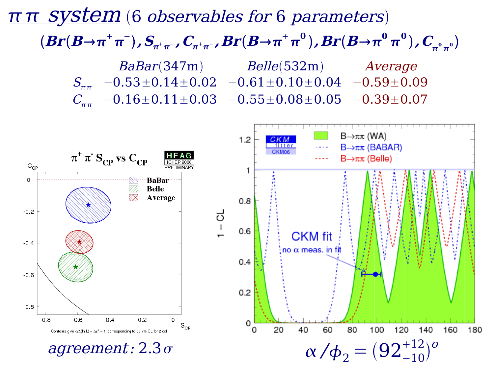## π π System (6 observables for 6 parameters)  $BaBar(347m)$  Belle(532m) Average  $S_{\pi\pi}$  -0.53±0.14±0.02 -0.61±0.10±0.04 -0.59±0.09  $C_{\text{eff}}$  -0.16±0.11±0.03 -0.55±0.08±0.05 -0.39±0.07  $\bm{Br}(\bm{B}\!\!\rightarrow\!\! \bm{\pi}^+\bm{\pi}^-)$  ,  $\bm{S}_{\!{\bm\pi}^+\bm{\pi}^-}$  ,  $\bm{C}_{\!{\bm\pi}^+\bm{\pi}^-}$  ,  $\bm{Br}(\bm{B}\!\!\rightarrow\!\bm{\pi}^+\bm{\pi}^0)$  ,  $\bm{Br}(\bm{B}\!\!\rightarrow\!\bm{\pi}^0\bm{\pi}^0)$  ,  $\bm{C}_{\!{\bm\pi}^0\bm{\pi}^0}$

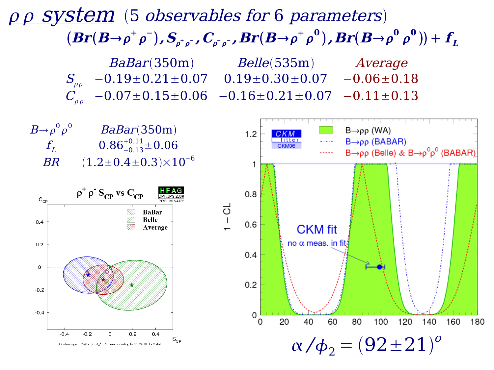## pp System (5 observables for 6 parameters)  $(\bm{Br}(\bm{B{\to}}\rho^{+}\rho^{-}),\bm{S}_{\rho^{+}\rho^{-}}$  ,  $\bm{C}_{\rho^{+}\rho^{-}}$  ,  $\bm{Br}(\bm{B{\to}}\rho^{+}\rho^{0})$  ,  $\bm{Br}(\bm{B{\to}}\rho^{0}\rho^{0}) ) + \bm{f}_{L}$

BaBar(350m) Belle(535m) Average  $S_{\rho\rho}$  -0.19±0.21±0.07 0.19±0.30±0.07 -0.06±0.18  $C_{\scriptscriptstyle \alpha\alpha}$  −0.07±0.15±0.06 −0.16±0.21±0.07 −0.11±0.13

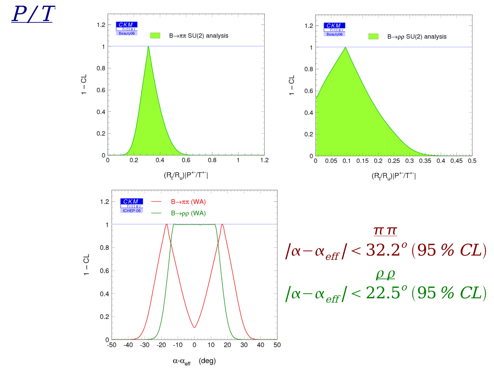$\red{P/T}$ 

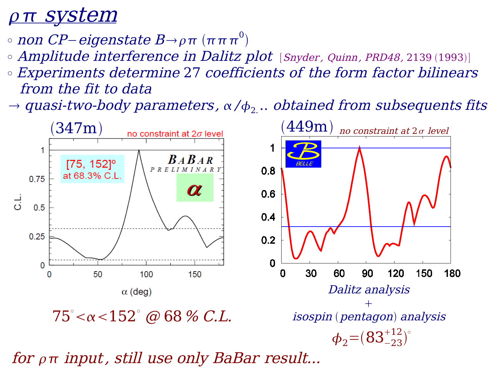## <u>ρπ system</u>

- $\circ$  non CP−eigenstate B→ρπ  $(\pi\,\pi\,\pi^0)$
- $\circ$  Amplitude interference in Dalitz plot [Snyder, Quinn, PRD48, 2139 (1993)]
- ° Experiments determine 27 coefficients of the form factor bilinears from the fit to data
- $\rightarrow$  quasi-two-body parameters,  $\alpha$  / $\phi_2$   $..$  obtained from subsequents fits



for  $\rho\pi$  input, still use only BaBar result...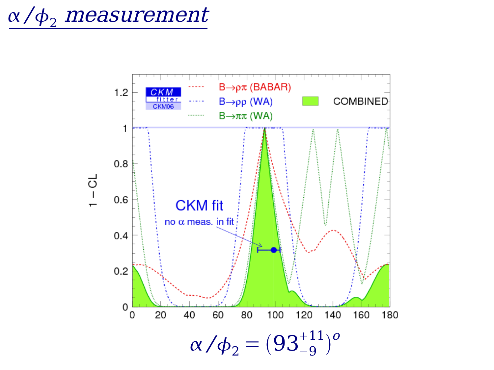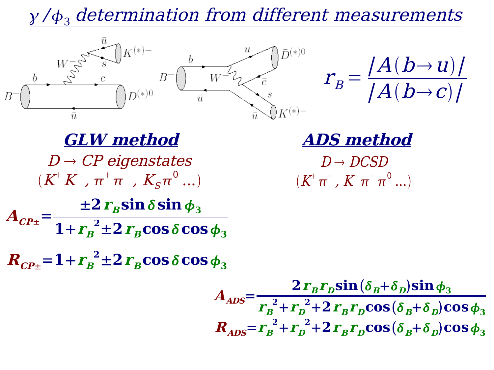$\gamma/\phi_3$  determination from different measurements



$$
r_B = \frac{A(b \rightarrow u)}{A(b \rightarrow c)}
$$

 $D \rightarrow CP$  eigenstates  $(K^+K^-$  ,  $\pi^+\pi^-$  ,  $K_S\pi^0$  ...) **GLW method ADS method**

 $D \rightarrow D CSD$  $(K^{\!+}\pi^{\!-}$  ,  $K^{\!+}\pi^{\!-}\pi^0$  ...)

 $A$ <sub>CP</sub> $\pm$ <sup>-</sup> =  $\pm 2 r$ **sin**  $\delta$ **sin**  $\phi_3$  $1+r_B^2 \pm 2r_B \cos \delta \cos \phi_3$ 

 $R_{CP\pm}$ =1+ $r_{B}^{2}$ ±2 $r_{B}$ cos $\delta$ cos $\phi_{3}$ 

$$
A_{ADS} = \frac{2 r_B r_D \sin(\delta_B + \delta_D) \sin \phi_3}{r_B^2 + r_D^2 + 2 r_B r_D \cos(\delta_B + \delta_D) \cos \phi_3}
$$
  

$$
R_{ADS} = r_B^2 + r_D^2 + 2 r_B r_D \cos(\delta_B + \delta_D) \cos \phi_3
$$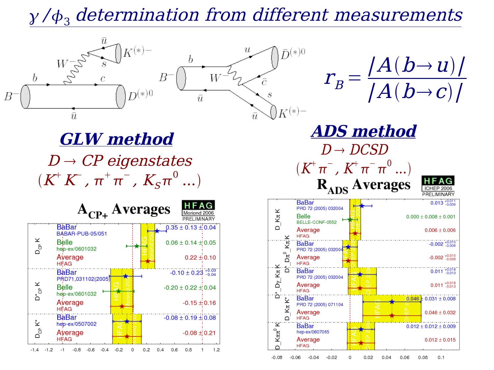## $\gamma/\phi_3$  determination from different measurements





**GLW method**  $D \rightarrow CP$  eigenstates  $(K^+K^-$  ,  $\pi^+\pi^-$  ,  $K_S\pi^0$  ...)

|                    | A <sub>CP+</sub> Averages                        |        |          |     |     | <b>HFAG</b><br>Moriond 2006<br>PRELIMINARY           |     |
|--------------------|--------------------------------------------------|--------|----------|-----|-----|------------------------------------------------------|-----|
|                    | <b>BaBar</b><br><b>BÁBAR-PUB-05/051</b><br>Belle |        |          |     |     | $0.35 \pm 0.13 \pm 0.04$<br>$0.06 \pm 0.14 \pm 0.05$ |     |
| D <sub>œ</sub> K   | hep-ex/0601032<br>Ayerage<br><b>HEAG</b>         |        |          |     |     | $0.22 \pm 0.10$                                      |     |
| $D^*_{CP}$ K       | BaBar<br>PRD71,031102(2005)                      |        |          |     |     | $-0.10 \pm 0.23^{+0.03}_{-0.04}$                     |     |
|                    | Belle<br>hep-ex/0601032                          |        |          |     |     | $-0.20 \pm 0.22 \pm 0.04$                            |     |
|                    | Average<br><b>H</b> FAG                          |        |          |     |     | $-0.15 \pm 0.16$                                     |     |
| D <sub>CP</sub> K* | <b>BaBar</b><br>hep-ex/0507002                   |        |          |     |     | $-0.08 \pm 0.19 \pm 0.08$                            |     |
|                    | Ayerage<br><b>HFAG</b>                           |        |          |     |     | $-0.08 \pm 0.21$                                     |     |
| $-1.4$<br>$-1.2$   | -0.8<br>$-0.6$<br>$-0.4$<br>-1                   | $-0.2$ | 0.2<br>0 | 0.4 | 0.6 | 0.8                                                  | 1.2 |



 $D \rightarrow D CSD$ 

 $(K^{\!+}\pi^{\!-}$  ,  $K^{\!+}\pi^{\!-}\pi^0$  ...)

 $-0.08$  $-0.06$  $-0.04$  $-0.02$ 0  $0.02$ 0.04 0.06 0.08  $0.1$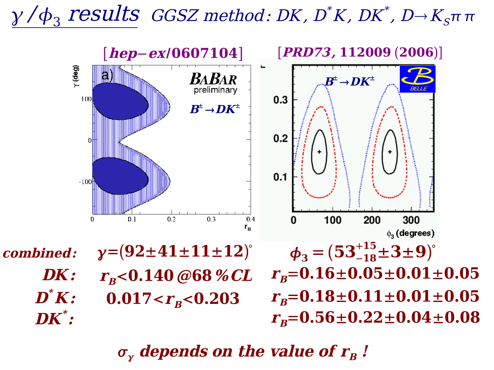## $\gamma\,{\not\!\! \! /}\,\phi_3$  results GGSZ method: DK, D\*K, DK\*, D $\!\rightarrow\! K_s$ ππ



 $\sigma_{\rm v}$  depends on the value of  $r_{\rm B}$ !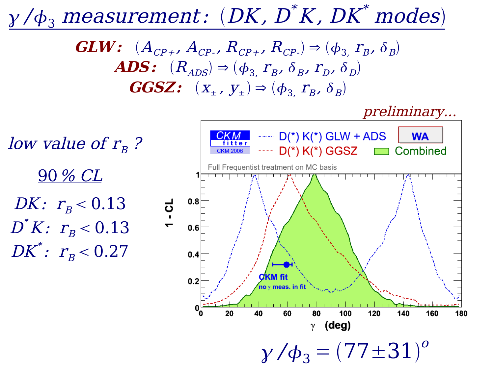#### $\gamma\,\prime\phi_3$  measurement:  $(DK,\,D^{^*}K,\,DK^{*})$ modes

**GLW:**  $(A_{CP+}, A_{CP-}, R_{CP+}, R_{CP-}) \Rightarrow (\phi_3, r_B, \delta_B)$  $\textbf{ADS:} \quad (R_{ADS}) \Rightarrow (\phi_{3,} \; r_{B}, \; \delta_{B}, \; r_{D}, \; \delta_{D})$ **GGSZ:**  $(X_{\pm}, Y_{\pm}) \Rightarrow (\phi_3, r_B, \delta_B)$ 

preliminary...

low value of  $r_{\scriptscriptstyle B}$ ? 90% CL DK:  $r_{\rm B}$  < 0.13  $1 - C1$  $D^{^*}K\colon$   $r_{\rm\scriptscriptstyle B}$   $<$   $0.13$  $DK}{\ast}\colon\thinspace r_{\textit{B}}^{\text{}}\!<0.27$ 

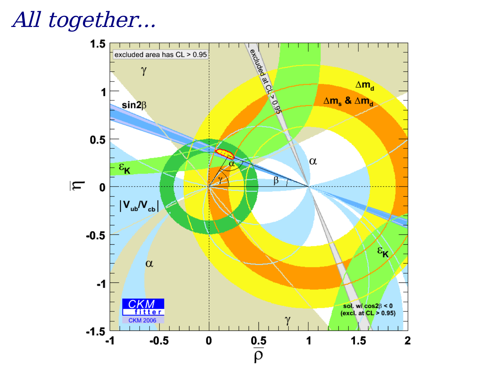## All together...

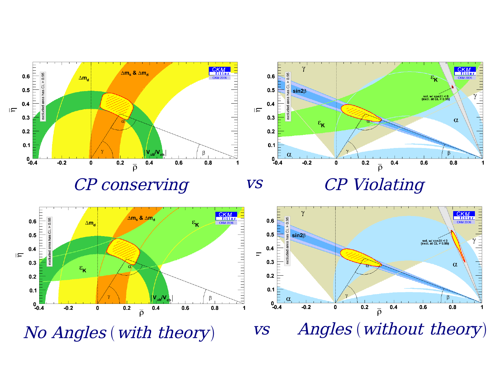

CP conserving vs CP Violating

vs

**CKM**<br>fitter<br>CKM 2006

 $\alpha$ 

ffininininini<mark>n</mark>

 $\overline{1}$ 





No Angles (with theory) vs Angles (without theory) vs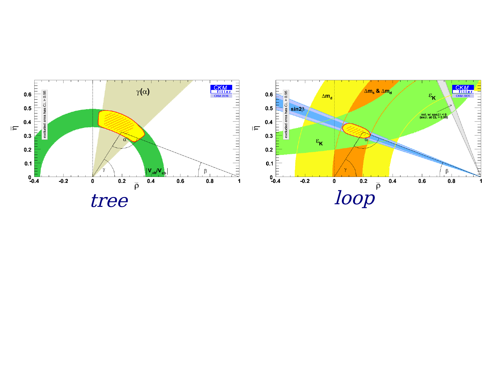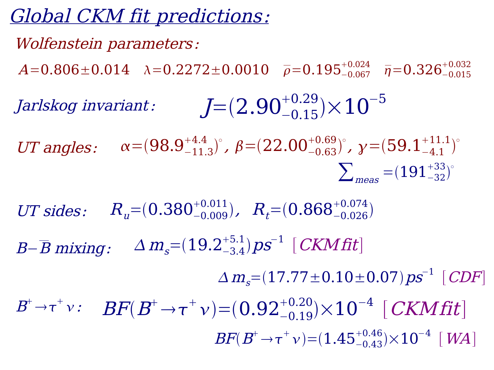## Global CKM fit predictions:

#### Wolfenstein parameters:

 $A\hspace{-0.08cm}=\hspace{-0.08cm}0.806\hspace{-0.08cm}\pm \hspace{-0.08cm}0.014$   $\lambda\hspace{-0.08cm}=\hspace{-0.08cm}0.2272\hspace{-0.08cm}\pm \hspace{-0.08cm}0.0010$   $\overline{\rho}\hspace{-0.08cm}=\hspace{-0.08cm}0.195^{+0.024}_{-0.067}$   $\overline{\eta}\hspace{-0.08cm}=\hspace{-0.08cm}0.326^{+0.032}_{-0.015}$ 

Jarlskog invariant: 
$$
J=(2.90^{+0.29}_{-0.15}) \times 10^{-5}
$$

UT angles:  $\alpha = (98.9^{+4.4}_{-11.3})^{\circ}$ ,  $\beta = (22.00^{+0.69}_{-0.63})^{\circ}$ ,  $\gamma = (59.1^{+11.1}_{-4.1})^{\circ}$  $\sum_{meas}$  =  $(191^{+33}_{-32})^{\circ}$ 

UT sides:  $R_u = (0.380^{+0.011}_{-0.009})$ ,  $R_t = (0.868^{+0.074}_{-0.026})$ B− $\overline{B}$  mixing:  $\quad \Delta$  m $_{\rm s}$ = $(19.2^{+5.1}_{-3.4})$   $ps^{-1}$   $[$  CKM fit]  $B^{\!+}\!\rightarrow\!\tau^+\nu\!:\quad BF(\bar{B}^{\!+}\!\rightarrow\!\tau^+\nu)\!=\!(0.92^{+0.20}_{-0.19})\!\!\times\!10^{-4}\,\,[\mathit{CKMfit}]$  $\Delta\,m_{_S}{=}(17.77{\pm}0.10{\pm}0.07)\,ps^{-1}\,\,[\,CDF]$  $BF(B^+ \! \rightarrow \! \tau^+ \nu) \! = \! (1.45^{+0.46}_{-0.43}) \!\! \times \! 10^{-4} \, \left[\right. W\!A\right]$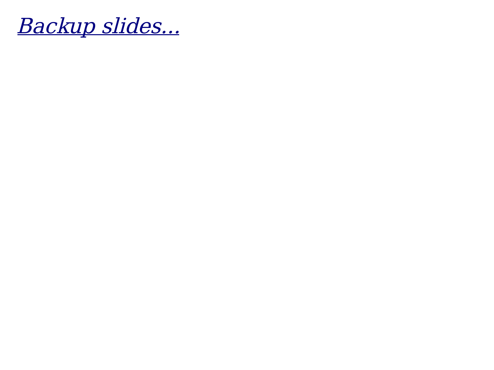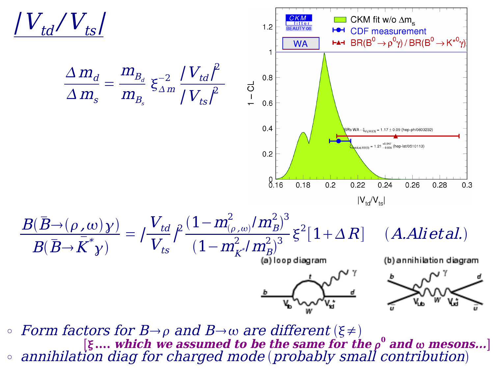

 $\circ$  Form factors for B $\rightarrow \rho$  and B $\rightarrow \omega$  are different ( $\xi \neq \phi$ )  $\circ$  annihilation diag for charged mode (probably small contribution)  $[\xi....$  which we assumed to be the same for the  $\rho^0$  and  $\omega$  mesons...]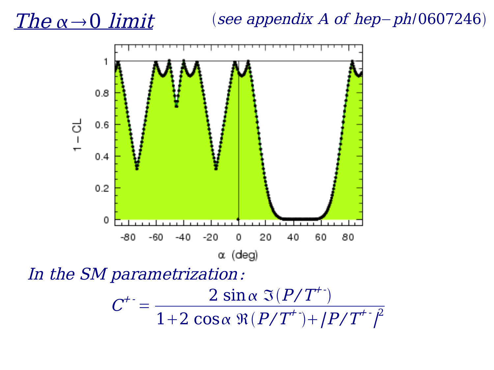## The  $\alpha \rightarrow 0$  limit

### see appendix A of hep−ph/0607246



In the SM parametrization:

$$
C^{+} = \frac{2 \sin \alpha \Im (P/T^{+})}{1 + 2 \cos \alpha \Re (P/T^{+}) + |P/T^{+}|^{2}}
$$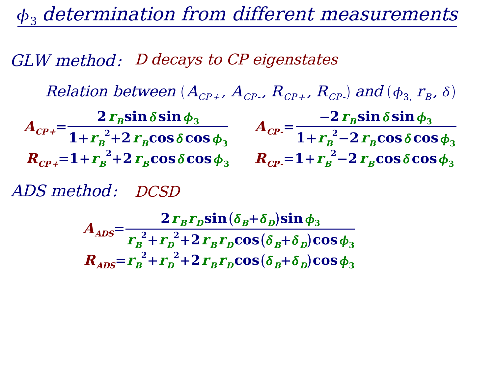$\phi_3$  determination from different measurements

GLW method: D decays to CP eigenstates

Relation between  $(A_{\scriptscriptstyle{CP+}} ,\, A_{\scriptscriptstyle{CP-}} ,\, R_{\scriptscriptstyle{CP+}} ,\, R_{\scriptscriptstyle{CP-}})$  and  $(\phi_{3,} \, r_{\scriptscriptstyle{B}}, \, \delta)$ 

 $A_{CP+}^{\vphantom{C}^e\neq 0}$  $2\, r_{\scriptscriptstyle B}$ sin $\,\delta$ sin $\,\phi_3$  $1 + r_B^2 + 2r_B \cos \delta \cos \phi_3$  $A_{\text{CP}}$ =  $-2\,r_{\overline{B}}\mathbf{sin}\,\delta\mathbf{sin}\,\phi_3$ **1**+ $r_B^2$ <sup>−</sup>**2** $r_B$ **cos** $\delta$ **cos** $\phi_3$  $R_{CP}$ <sub>+</sub>=1+ $r_{B}^{-2}$ +2 $r_{B}$ cos $\delta$ cos $\phi_{3}$   $R_{CP}$ =1+ $r_{B}^{-2}$ –2 $r_{B}$ cos $\delta$ cos $\phi_{3}$ 

ADS method: DCSD

 $A_{ADS} =$  $2\, \boldsymbol{r}_{\scriptscriptstyle{B}} \boldsymbol{r}_{\scriptscriptstyle{D}} \boldsymbol{\textrm{sin}}\, (\delta_{\scriptscriptstyle{B}} \!+\! \delta_{\scriptscriptstyle{D}}) \boldsymbol{\textrm{sin}}\, \phi_{3}$  $r_{B}^{2}+r_{D}^{2}+2r_{B}r_{D}cos(\delta_{B}+\delta_{D})cos\phi_{3}$  $R_{ADS} = r_B^2 + r_D^2 + 2r_Br_D\cos(\delta_B+\delta_D)\cos\phi_3$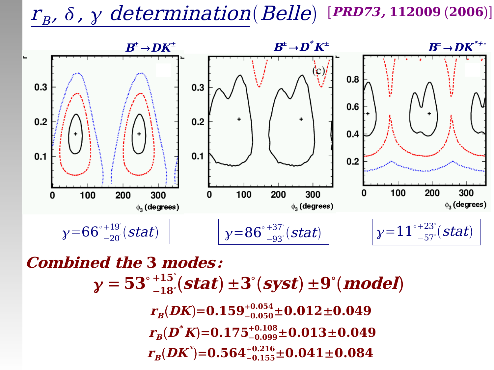## $r_{\scriptscriptstyle{B}}$ ,  $\delta$  ,  $\gamma$  determination(Belle) [PRD73,112009 (2006)]



 $y = 53^\circ$ −**18** °  $^{+15}_{-18}$  (stat)  $\pm 3$  (syst)  $\pm 9$  (model)  $\bm{r}_{\bm{B}}(\bm{D}\bm{K})\!\!=\!\bm{0.159}_{-0.050}^{+0.054}\!\pm\!\bm{0.012}\!\pm\!\bm{0.049}$  $\bm{r}_{\bm{B}}(\bm{D}^*\bm{K})\hspace{-1mm}=\hspace{-1mm}\bm{0.175}_{-0.099}^{+0.108}\hspace{-1mm}\pm\hspace{-1mm}\bm{0.013}\hspace{-1mm}\pm\hspace{-1mm}\bm{0.049}$  $\bm{r}_{\bm{B}}(\bm{D}\bm{K}^*)$ = $\bm{0.564}^{+0.216}_{-0.155}$ ± $\bm{0.041}$ ± $\bm{0.084}$ **Combined the 3 modes:**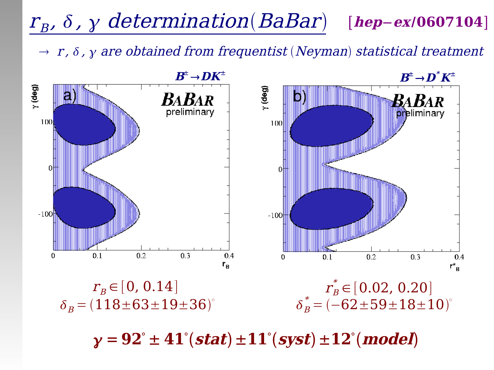#### $r_{\scriptscriptstyle B}$ ,  $\delta$  ,  $\gamma$  determination(BaBar) [**hep**−**ex**/**0607104**]

 $r \rightarrow r$ ,  $\delta$ ,  $\gamma$  are obtained from frequentist (Neyman) statistical treatment



 $\mathbf{y} = 92^{\circ} \pm 41^{\circ}(\mathbf{stat}) \pm 11^{\circ}(\mathbf{syst}) \pm 12^{\circ}(\mathbf{model})$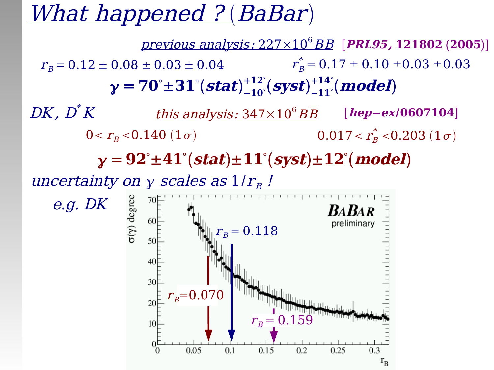## What happened ? (BaBar)

uncertainty on  $\gamma$  scales as  $1/r_{B}$  !  $\mathbf{y} = 92^{\circ} \pm 41^{\circ}(\mathbf{stat}) \pm 11^{\circ}(\mathbf{syst}) \pm 12^{\circ}(\mathbf{model})$ previous analysis: 227×10 <sup>6</sup>BB [**PRL95, 121802 2005**] this analysis: 347×10 <sup>6</sup>BB [**hep**−**ex**/**0607104**]  $0 < r_B < 0.140$  (1 $\sigma$ )  $_B^*$  < $0.203$   $(1\,\sigma)$  $\gamma$  = 70° $\pm 31^{\circ}$ (stat) $^{+12}_{-10}$ °  $^{+12^{\circ}}_{-10^{\circ}}(\bm{syst})^{+14}_{-11}$ °  $^{+14^{\circ}}_{-11^{\circ}}(\bm{model})$  $r_{\rm B}$  = 0.12  $\pm$  0.08  $\pm$  0.03  $\pm$  0.04  $^*_{\hbox {\tiny B}}$  =  $0.17 \pm 0.10 \pm\!0.03 \pm\!0.03$  $DK$  ,  $D^{\ast}K$ 

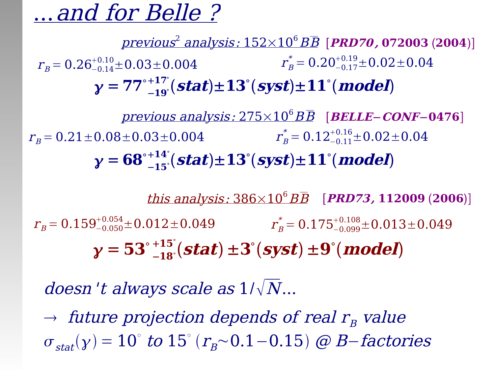## ...and for Belle ?

previous 2 analysis: 152×10 <sup>6</sup>BB [**PRD70 , 072003 2004**]  $\gamma = 77^\circ$ −**19** °  $^{+17^{\circ}}_{-19^{\circ}}(stat) \pm 13^{\circ}(syst) \pm 11^{\circ}(\text{model})$  $r_{_B}^{\,\rm{ = 0.26^{+0.10}_{-0.14} \pm 0.03 \pm 0.004 }} \qquad \qquad r_B^{\ast}$  $\sigma_B^*=0.20^{+0.19}_{-0.17}{\pm0.02}{\pm0.04}$ previous analysis: 275×10 <sup>6</sup>BB [**BELLE**−**CONF**−**0476**]

 $y = 68^\circ$  $^{+14}$ <sup>e</sup> $($ **stat** $)$  $\pm 13$ <sup>e</sup> $($ **syst** $)$  $\pm 11$ <sup>e</sup> $($ **model** $)$  $r_B$  = 0.21  $\pm$  0.08  $\pm$  0.03  $\pm$  0.004  $\alpha_B^*=0.12^{+0.16}_{-0.11}{\pm0.02}{\pm0.04}$ 

this analysis: 386×10 <sup>6</sup>BB [**PRD73, 112009 2006**]  $\gamma = 53^\circ$ −**18** °  $^{+15}_{-18}$  (**stat**)  $\pm 3^{\circ}$  (**syst**)  $\pm 9^{\circ}$  (**model**)  $r_{\rm B}^{\rm *}$  =  $0.159^{+0.054}_{-0.050}{\pm0.012}{\pm0.049} \hspace{1.5cm} r_{\rm B}^{\rm *}$  =  $0.175^{+0.108}_{-0.099}{\pm0.013}{\pm0.049}$ 

doesn't always scale as  $1/\sqrt{N}...$ 

 $-15^\circ$ 

 $\rightarrow$  future projection depends of real  $r_{\rm B}$  value  $\sigma_{stat}(y) = 10^{\circ}$  to  $15^{\circ} (r_B \sim 0.1 - 0.15)$  @ B-factories